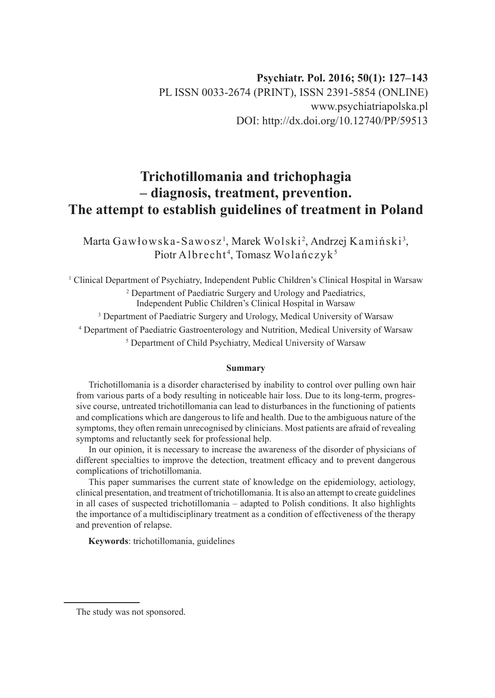# **Trichotillomania and trichophagia – diagnosis, treatment, prevention. The attempt to establish guidelines of treatment in Poland**

Marta Gawłowska-Sawosz<sup>1</sup>, Marek Wolski<sup>2</sup>, Andrzej Kamiński<sup>3</sup>, Piotr Albrecht<sup>4</sup>, Tomasz Wolańczyk<sup>5</sup>

1 Clinical Department of Psychiatry, Independent Public Children's Clinical Hospital in Warsaw 2 Department of Paediatric Surgery and Urology and Paediatrics, Independent Public Children's Clinical Hospital in Warsaw

<sup>3</sup> Department of Paediatric Surgery and Urology, Medical University of Warsaw

4 Department of Paediatric Gastroenterology and Nutrition, Medical University of Warsaw

5 Department of Child Psychiatry, Medical University of Warsaw

#### **Summary**

Trichotillomania is a disorder characterised by inability to control over pulling own hair from various parts of a body resulting in noticeable hair loss. Due to its long-term, progressive course, untreated trichotillomania can lead to disturbances in the functioning of patients and complications which are dangerous to life and health. Due to the ambiguous nature of the symptoms, they often remain unrecognised by clinicians. Most patients are afraid of revealing symptoms and reluctantly seek for professional help.

In our opinion, it is necessary to increase the awareness of the disorder of physicians of different specialties to improve the detection, treatment efficacy and to prevent dangerous complications of trichotillomania.

This paper summarises the current state of knowledge on the epidemiology, aetiology, clinical presentation, and treatment of trichotillomania. It is also an attempt to create guidelines in all cases of suspected trichotillomania – adapted to Polish conditions. It also highlights the importance of a multidisciplinary treatment as a condition of effectiveness of the therapy and prevention of relapse.

**Keywords**: trichotillomania, guidelines

The study was not sponsored.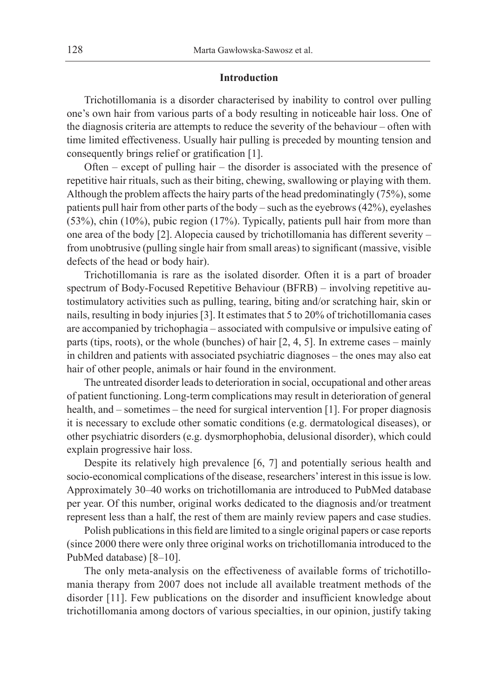#### **Introduction**

Trichotillomania is a disorder characterised by inability to control over pulling one's own hair from various parts of a body resulting in noticeable hair loss. One of the diagnosis criteria are attempts to reduce the severity of the behaviour – often with time limited effectiveness. Usually hair pulling is preceded by mounting tension and consequently brings relief or gratification [1].

Often – except of pulling hair – the disorder is associated with the presence of repetitive hair rituals, such as their biting, chewing, swallowing or playing with them. Although the problem affects the hairy parts of the head predominatingly (75%), some patients pull hair from other parts of the body – such as the eyebrows (42%), eyelashes (53%), chin (10%), pubic region (17%). Typically, patients pull hair from more than one area of the body [2]. Alopecia caused by trichotillomania has different severity – from unobtrusive (pulling single hair from small areas) to significant (massive, visible defects of the head or body hair).

Trichotillomania is rare as the isolated disorder. Often it is a part of broader spectrum of Body-Focused Repetitive Behaviour (BFRB) – involving repetitive autostimulatory activities such as pulling, tearing, biting and/or scratching hair, skin or nails, resulting in body injuries [3]. It estimates that 5 to 20% of trichotillomania cases are accompanied by trichophagia – associated with compulsive or impulsive eating of parts (tips, roots), or the whole (bunches) of hair [2, 4, 5]. In extreme cases – mainly in children and patients with associated psychiatric diagnoses – the ones may also eat hair of other people, animals or hair found in the environment.

The untreated disorder leads to deterioration in social, occupational and other areas of patient functioning. Long-term complications may result in deterioration of general health, and – sometimes – the need for surgical intervention [1]. For proper diagnosis it is necessary to exclude other somatic conditions (e.g. dermatological diseases), or other psychiatric disorders (e.g. dysmorphophobia, delusional disorder), which could explain progressive hair loss.

Despite its relatively high prevalence [6, 7] and potentially serious health and socio-economical complications of the disease, researchers' interest in this issue is low. Approximately 30–40 works on trichotillomania are introduced to PubMed database per year. Of this number, original works dedicated to the diagnosis and/or treatment represent less than a half, the rest of them are mainly review papers and case studies.

Polish publications in this field are limited to a single original papers or case reports (since 2000 there were only three original works on trichotillomania introduced to the PubMed database) [8–10].

The only meta-analysis on the effectiveness of available forms of trichotillomania therapy from 2007 does not include all available treatment methods of the disorder [11]. Few publications on the disorder and insufficient knowledge about trichotillomania among doctors of various specialties, in our opinion, justify taking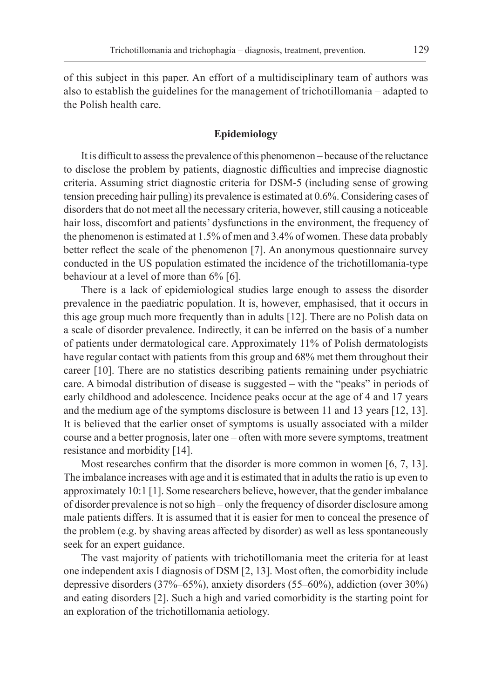of this subject in this paper. An effort of a multidisciplinary team of authors was also to establish the guidelines for the management of trichotillomania – adapted to the Polish health care.

### **Epidemiology**

It is difficult to assess the prevalence of this phenomenon – because of the reluctance to disclose the problem by patients, diagnostic difficulties and imprecise diagnostic criteria. Assuming strict diagnostic criteria for DSM-5 (including sense of growing tension preceding hair pulling) its prevalence is estimated at 0.6%. Considering cases of disorders that do not meet all the necessary criteria, however, still causing a noticeable hair loss, discomfort and patients' dysfunctions in the environment, the frequency of the phenomenon is estimated at 1.5% of men and 3.4% of women. These data probably better reflect the scale of the phenomenon [7]. An anonymous questionnaire survey conducted in the US population estimated the incidence of the trichotillomania-type behaviour at a level of more than 6% [6].

There is a lack of epidemiological studies large enough to assess the disorder prevalence in the paediatric population. It is, however, emphasised, that it occurs in this age group much more frequently than in adults [12]. There are no Polish data on a scale of disorder prevalence. Indirectly, it can be inferred on the basis of a number of patients under dermatological care. Approximately 11% of Polish dermatologists have regular contact with patients from this group and 68% met them throughout their career [10]. There are no statistics describing patients remaining under psychiatric care. A bimodal distribution of disease is suggested – with the "peaks" in periods of early childhood and adolescence. Incidence peaks occur at the age of 4 and 17 years and the medium age of the symptoms disclosure is between 11 and 13 years [12, 13]. It is believed that the earlier onset of symptoms is usually associated with a milder course and a better prognosis, later one – often with more severe symptoms, treatment resistance and morbidity [14].

Most researches confirm that the disorder is more common in women [6, 7, 13]. The imbalance increases with age and it is estimated that in adults the ratio is up even to approximately 10:1 [1]. Some researchers believe, however, that the gender imbalance of disorder prevalence is not so high – only the frequency of disorder disclosure among male patients differs. It is assumed that it is easier for men to conceal the presence of the problem (e.g. by shaving areas affected by disorder) as well as less spontaneously seek for an expert guidance.

The vast majority of patients with trichotillomania meet the criteria for at least one independent axis I diagnosis of DSM [2, 13]. Most often, the comorbidity include depressive disorders (37%–65%), anxiety disorders (55–60%), addiction (over 30%) and eating disorders [2]. Such a high and varied comorbidity is the starting point for an exploration of the trichotillomania aetiology.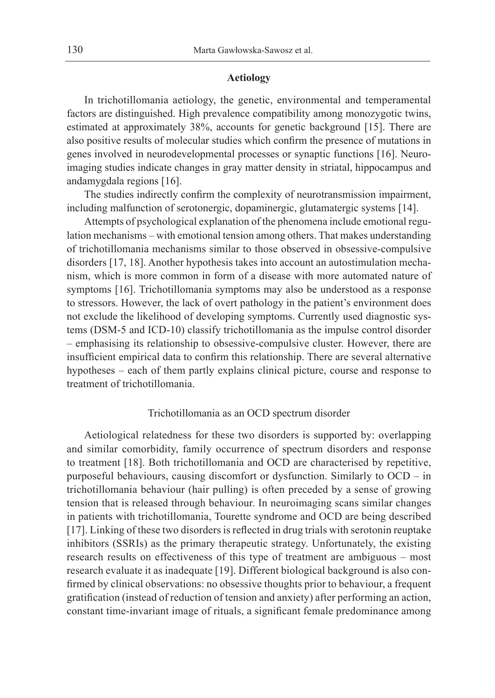#### **Aetiology**

In trichotillomania aetiology, the genetic, environmental and temperamental factors are distinguished. High prevalence compatibility among monozygotic twins, estimated at approximately 38%, accounts for genetic background [15]. There are also positive results of molecular studies which confirm the presence of mutations in genes involved in neurodevelopmental processes or synaptic functions [16]. Neuroimaging studies indicate changes in gray matter density in striatal, hippocampus and andamygdala regions [16].

The studies indirectly confirm the complexity of neurotransmission impairment, including malfunction of serotonergic, dopaminergic, glutamatergic systems [14].

Attempts of psychological explanation of the phenomena include emotional regulation mechanisms – with emotional tension among others. That makes understanding of trichotillomania mechanisms similar to those observed in obsessive-compulsive disorders [17, 18]. Another hypothesis takes into account an autostimulation mechanism, which is more common in form of a disease with more automated nature of symptoms [16]. Trichotillomania symptoms may also be understood as a response to stressors. However, the lack of overt pathology in the patient's environment does not exclude the likelihood of developing symptoms. Currently used diagnostic systems (DSM-5 and ICD-10) classify trichotillomania as the impulse control disorder – emphasising its relationship to obsessive-compulsive cluster. However, there are insufficient empirical data to confirm this relationship. There are several alternative hypotheses – each of them partly explains clinical picture, course and response to treatment of trichotillomania.

### Trichotillomania as an OCD spectrum disorder

Aetiological relatedness for these two disorders is supported by: overlapping and similar comorbidity, family occurrence of spectrum disorders and response to treatment [18]. Both trichotillomania and OCD are characterised by repetitive, purposeful behaviours, causing discomfort or dysfunction. Similarly to OCD – in trichotillomania behaviour (hair pulling) is often preceded by a sense of growing tension that is released through behaviour. In neuroimaging scans similar changes in patients with trichotillomania, Tourette syndrome and OCD are being described [17]. Linking of these two disorders is reflected in drug trials with serotonin reuptake inhibitors (SSRIs) as the primary therapeutic strategy. Unfortunately, the existing research results on effectiveness of this type of treatment are ambiguous – most research evaluate it as inadequate [19]. Different biological background is also confirmed by clinical observations: no obsessive thoughts prior to behaviour, a frequent gratification (instead of reduction of tension and anxiety) after performing an action, constant time-invariant image of rituals, a significant female predominance among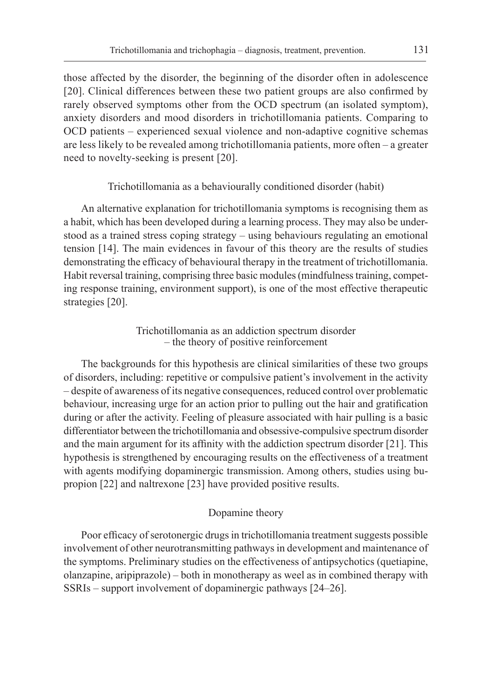those affected by the disorder, the beginning of the disorder often in adolescence [20]. Clinical differences between these two patient groups are also confirmed by rarely observed symptoms other from the OCD spectrum (an isolated symptom), anxiety disorders and mood disorders in trichotillomania patients. Comparing to OCD patients – experienced sexual violence and non-adaptive cognitive schemas are less likely to be revealed among trichotillomania patients, more often – a greater need to novelty-seeking is present [20].

Trichotillomania as a behaviourally conditioned disorder (habit)

An alternative explanation for trichotillomania symptoms is recognising them as a habit, which has been developed during a learning process. They may also be understood as a trained stress coping strategy – using behaviours regulating an emotional tension [14]. The main evidences in favour of this theory are the results of studies demonstrating the efficacy of behavioural therapy in the treatment of trichotillomania. Habit reversal training, comprising three basic modules (mindfulness training, competing response training, environment support), is one of the most effective therapeutic strategies [20].

> Trichotillomania as an addiction spectrum disorder – the theory of positive reinforcement

The backgrounds for this hypothesis are clinical similarities of these two groups of disorders, including: repetitive or compulsive patient's involvement in the activity – despite of awareness of its negative consequences, reduced control over problematic behaviour, increasing urge for an action prior to pulling out the hair and gratification during or after the activity. Feeling of pleasure associated with hair pulling is a basic differentiator between the trichotillomania and obsessive-compulsive spectrum disorder and the main argument for its affinity with the addiction spectrum disorder [21]. This hypothesis is strengthened by encouraging results on the effectiveness of a treatment with agents modifying dopaminergic transmission. Among others, studies using bupropion [22] and naltrexone [23] have provided positive results.

## Dopamine theory

Poor efficacy of serotonergic drugs in trichotillomania treatment suggests possible involvement of other neurotransmitting pathways in development and maintenance of the symptoms. Preliminary studies on the effectiveness of antipsychotics (quetiapine, olanzapine, aripiprazole) – both in monotherapy as weel as in combined therapy with SSRIs – support involvement of dopaminergic pathways [24–26].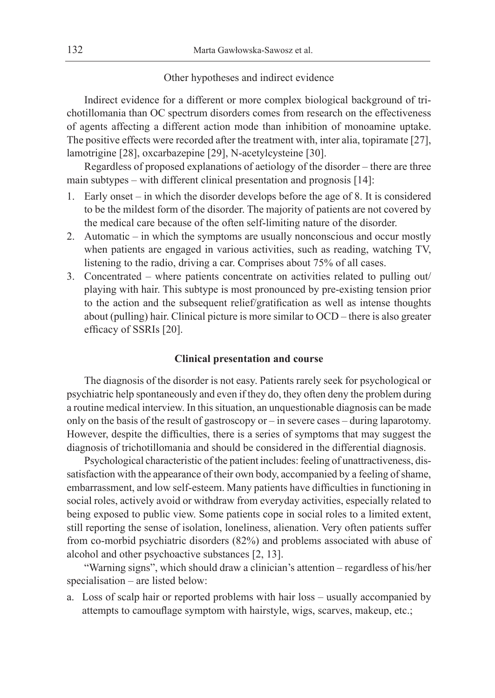#### Other hypotheses and indirect evidence

Indirect evidence for a different or more complex biological background of trichotillomania than OC spectrum disorders comes from research on the effectiveness of agents affecting a different action mode than inhibition of monoamine uptake. The positive effects were recorded after the treatment with, inter alia, topiramate [27], lamotrigine [28], oxcarbazepine [29], N-acetylcysteine [30].

Regardless of proposed explanations of aetiology of the disorder – there are three main subtypes – with different clinical presentation and prognosis [14]:

- 1. Early onset in which the disorder develops before the age of 8. It is considered to be the mildest form of the disorder. The majority of patients are not covered by the medical care because of the often self-limiting nature of the disorder.
- 2. Automatic in which the symptoms are usually nonconscious and occur mostly when patients are engaged in various activities, such as reading, watching TV, listening to the radio, driving a car. Comprises about 75% of all cases.
- 3. Concentrated where patients concentrate on activities related to pulling out/ playing with hair. This subtype is most pronounced by pre-existing tension prior to the action and the subsequent relief/gratification as well as intense thoughts about (pulling) hair. Clinical picture is more similar to OCD – there is also greater efficacy of SSRIs [20].

### **Clinical presentation and course**

The diagnosis of the disorder is not easy. Patients rarely seek for psychological or psychiatric help spontaneously and even if they do, they often deny the problem during a routine medical interview. In this situation, an unquestionable diagnosis can be made only on the basis of the result of gastroscopy or – in severe cases – during laparotomy. However, despite the difficulties, there is a series of symptoms that may suggest the diagnosis of trichotillomania and should be considered in the differential diagnosis.

Psychological characteristic of the patient includes: feeling of unattractiveness, dissatisfaction with the appearance of their own body, accompanied by a feeling of shame, embarrassment, and low self-esteem. Many patients have difficulties in functioning in social roles, actively avoid or withdraw from everyday activities, especially related to being exposed to public view. Some patients cope in social roles to a limited extent, still reporting the sense of isolation, loneliness, alienation. Very often patients suffer from co-morbid psychiatric disorders (82%) and problems associated with abuse of alcohol and other psychoactive substances [2, 13].

"Warning signs", which should draw a clinician's attention – regardless of his/her specialisation – are listed below:

a. Loss of scalp hair or reported problems with hair loss – usually accompanied by attempts to camouflage symptom with hairstyle, wigs, scarves, makeup, etc.;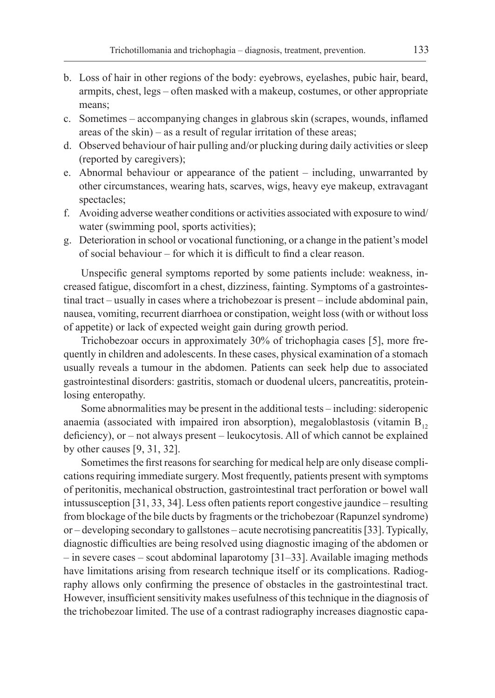- b. Loss of hair in other regions of the body: eyebrows, eyelashes, pubic hair, beard, armpits, chest, legs – often masked with a makeup, costumes, or other appropriate means;
- c. Sometimes accompanying changes in glabrous skin (scrapes, wounds, inflamed areas of the skin) – as a result of regular irritation of these areas;
- d. Observed behaviour of hair pulling and/or plucking during daily activities or sleep (reported by caregivers);
- e. Abnormal behaviour or appearance of the patient including, unwarranted by other circumstances, wearing hats, scarves, wigs, heavy eye makeup, extravagant spectacles;
- f. Avoiding adverse weather conditions or activities associated with exposure to wind/ water (swimming pool, sports activities);
- g. Deterioration in school or vocational functioning, or a change in the patient's model of social behaviour – for which it is difficult to find a clear reason.

Unspecific general symptoms reported by some patients include: weakness, increased fatigue, discomfort in a chest, dizziness, fainting. Symptoms of a gastrointestinal tract – usually in cases where a trichobezoar is present – include abdominal pain, nausea, vomiting, recurrent diarrhoea or constipation, weight loss (with or without loss of appetite) or lack of expected weight gain during growth period.

Trichobezoar occurs in approximately 30% of trichophagia cases [5], more frequently in children and adolescents. In these cases, physical examination of a stomach usually reveals a tumour in the abdomen. Patients can seek help due to associated gastrointestinal disorders: gastritis, stomach or duodenal ulcers, pancreatitis, proteinlosing enteropathy.

Some abnormalities may be present in the additional tests – including: sideropenic anaemia (associated with impaired iron absorption), megaloblastosis (vitamin  $B_{12}$ deficiency), or – not always present – leukocytosis. All of which cannot be explained by other causes [9, 31, 32].

Sometimes the first reasons for searching for medical help are only disease complications requiring immediate surgery. Most frequently, patients present with symptoms of peritonitis, mechanical obstruction, gastrointestinal tract perforation or bowel wall intussusception [31, 33, 34]. Less often patients report congestive jaundice – resulting from blockage of the bile ducts by fragments or the trichobezoar (Rapunzel syndrome) or – developing secondary to gallstones – acute necrotising pancreatitis [33]. Typically, diagnostic difficulties are being resolved using diagnostic imaging of the abdomen or – in severe cases – scout abdominal laparotomy [31–33]. Available imaging methods have limitations arising from research technique itself or its complications. Radiography allows only confirming the presence of obstacles in the gastrointestinal tract. However, insufficient sensitivity makes usefulness of this technique in the diagnosis of the trichobezoar limited. The use of a contrast radiography increases diagnostic capa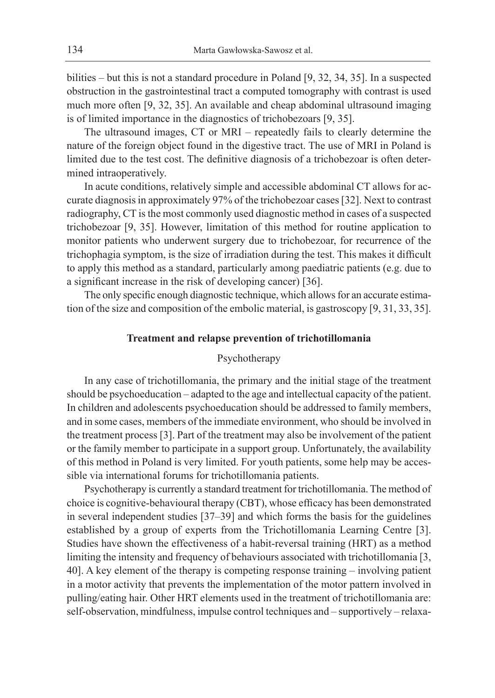bilities – but this is not a standard procedure in Poland [9, 32, 34, 35]. In a suspected obstruction in the gastrointestinal tract a computed tomography with contrast is used much more often [9, 32, 35]. An available and cheap abdominal ultrasound imaging is of limited importance in the diagnostics of trichobezoars [9, 35].

The ultrasound images, CT or MRI – repeatedly fails to clearly determine the nature of the foreign object found in the digestive tract. The use of MRI in Poland is limited due to the test cost. The definitive diagnosis of a trichobezoar is often determined intraoperatively.

In acute conditions, relatively simple and accessible abdominal CT allows for accurate diagnosis in approximately 97% of the trichobezoar cases [32]. Next to contrast radiography, CT is the most commonly used diagnostic method in cases of a suspected trichobezoar [9, 35]. However, limitation of this method for routine application to monitor patients who underwent surgery due to trichobezoar, for recurrence of the trichophagia symptom, is the size of irradiation during the test. This makes it difficult to apply this method as a standard, particularly among paediatric patients (e.g. due to a significant increase in the risk of developing cancer) [36].

The only specific enough diagnostic technique, which allows for an accurate estimation of the size and composition of the embolic material, is gastroscopy [9, 31, 33, 35].

#### **Treatment and relapse prevention of trichotillomania**

#### Psychotherapy

In any case of trichotillomania, the primary and the initial stage of the treatment should be psychoeducation – adapted to the age and intellectual capacity of the patient. In children and adolescents psychoeducation should be addressed to family members, and in some cases, members of the immediate environment, who should be involved in the treatment process [3]. Part of the treatment may also be involvement of the patient or the family member to participate in a support group. Unfortunately, the availability of this method in Poland is very limited. For youth patients, some help may be accessible via international forums for trichotillomania patients.

Psychotherapy is currently a standard treatment for trichotillomania. The method of choice is cognitive-behavioural therapy (CBT), whose efficacy has been demonstrated in several independent studies [37–39] and which forms the basis for the guidelines established by a group of experts from the Trichotillomania Learning Centre [3]. Studies have shown the effectiveness of a habit-reversal training (HRT) as a method limiting the intensity and frequency of behaviours associated with trichotillomania [3, 40]. A key element of the therapy is competing response training – involving patient in a motor activity that prevents the implementation of the motor pattern involved in pulling/eating hair. Other HRT elements used in the treatment of trichotillomania are: self-observation, mindfulness, impulse control techniques and – supportively – relaxa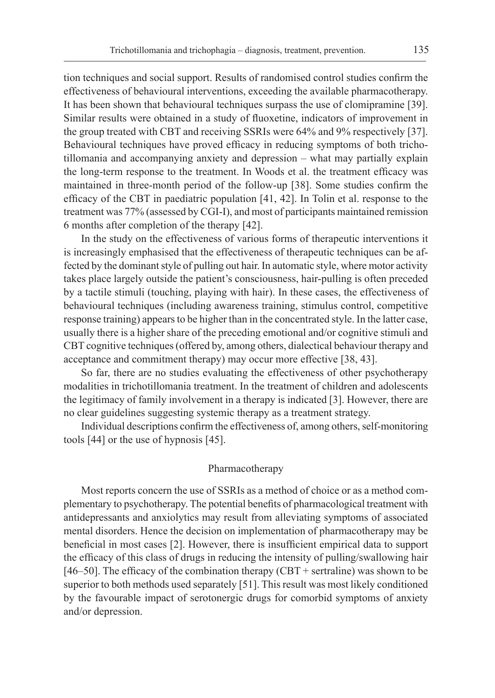tion techniques and social support. Results of randomised control studies confirm the effectiveness of behavioural interventions, exceeding the available pharmacotherapy. It has been shown that behavioural techniques surpass the use of clomipramine [39]. Similar results were obtained in a study of fluoxetine, indicators of improvement in the group treated with CBT and receiving SSRIs were 64% and 9% respectively [37]. Behavioural techniques have proved efficacy in reducing symptoms of both trichotillomania and accompanying anxiety and depression – what may partially explain the long-term response to the treatment. In Woods et al. the treatment efficacy was maintained in three-month period of the follow-up [38]. Some studies confirm the efficacy of the CBT in paediatric population [41, 42]. In Tolin et al. response to the treatment was 77% (assessed by CGI-I), and most of participants maintained remission 6 months after completion of the therapy [42].

In the study on the effectiveness of various forms of therapeutic interventions it is increasingly emphasised that the effectiveness of therapeutic techniques can be affected by the dominant style of pulling out hair. In automatic style, where motor activity takes place largely outside the patient's consciousness, hair-pulling is often preceded by a tactile stimuli (touching, playing with hair). In these cases, the effectiveness of behavioural techniques (including awareness training, stimulus control, competitive response training) appears to be higher than in the concentrated style. In the latter case, usually there is a higher share of the preceding emotional and/or cognitive stimuli and CBT cognitive techniques (offered by, among others, dialectical behaviour therapy and acceptance and commitment therapy) may occur more effective [38, 43].

So far, there are no studies evaluating the effectiveness of other psychotherapy modalities in trichotillomania treatment. In the treatment of children and adolescents the legitimacy of family involvement in a therapy is indicated [3]. However, there are no clear guidelines suggesting systemic therapy as a treatment strategy.

Individual descriptions confirm the effectiveness of, among others, self-monitoring tools [44] or the use of hypnosis [45].

## Pharmacotherapy

Most reports concern the use of SSRIs as a method of choice or as a method complementary to psychotherapy. The potential benefits of pharmacological treatment with antidepressants and anxiolytics may result from alleviating symptoms of associated mental disorders. Hence the decision on implementation of pharmacotherapy may be beneficial in most cases [2]. However, there is insufficient empirical data to support the efficacy of this class of drugs in reducing the intensity of pulling/swallowing hair [46–50]. The efficacy of the combination therapy  $(CBT + \text{setraline})$  was shown to be superior to both methods used separately [51]. This result was most likely conditioned by the favourable impact of serotonergic drugs for comorbid symptoms of anxiety and/or depression.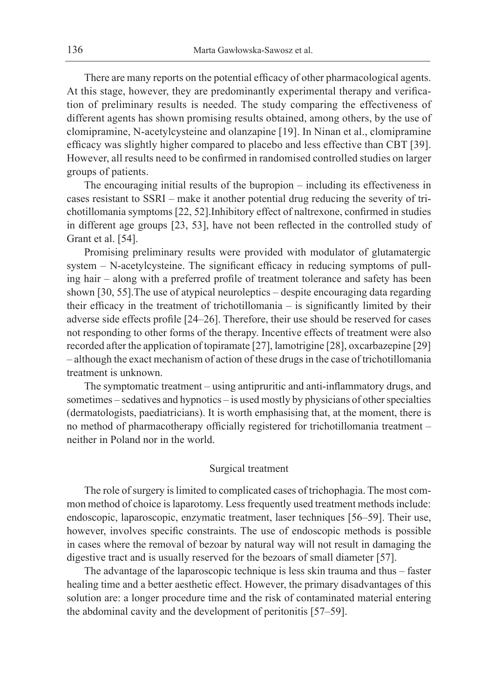There are many reports on the potential efficacy of other pharmacological agents. At this stage, however, they are predominantly experimental therapy and verification of preliminary results is needed. The study comparing the effectiveness of different agents has shown promising results obtained, among others, by the use of clomipramine, N-acetylcysteine and olanzapine [19]. In Ninan et al., clomipramine efficacy was slightly higher compared to placebo and less effective than CBT [39]. However, all results need to be confirmed in randomised controlled studies on larger groups of patients.

The encouraging initial results of the bupropion – including its effectiveness in cases resistant to SSRI – make it another potential drug reducing the severity of trichotillomania symptoms [22, 52].Inhibitory effect of naltrexone, confirmed in studies in different age groups [23, 53], have not been reflected in the controlled study of Grant et al. [54].

Promising preliminary results were provided with modulator of glutamatergic system – N-acetylcysteine. The significant efficacy in reducing symptoms of pulling hair – along with a preferred profile of treatment tolerance and safety has been shown [30, 55].The use of atypical neuroleptics – despite encouraging data regarding their efficacy in the treatment of trichotillomania – is significantly limited by their adverse side effects profile [24–26]. Therefore, their use should be reserved for cases not responding to other forms of the therapy. Incentive effects of treatment were also recorded after the application of topiramate [27], lamotrigine [28], oxcarbazepine [29] – although the exact mechanism of action of these drugs in the case of trichotillomania treatment is unknown.

The symptomatic treatment – using antipruritic and anti-inflammatory drugs, and sometimes – sedatives and hypnotics – is used mostly by physicians of other specialties (dermatologists, paediatricians). It is worth emphasising that, at the moment, there is no method of pharmacotherapy officially registered for trichotillomania treatment – neither in Poland nor in the world.

## Surgical treatment

The role of surgery is limited to complicated cases of trichophagia. The most common method of choice is laparotomy. Less frequently used treatment methods include: endoscopic, laparoscopic, enzymatic treatment, laser techniques [56–59]. Their use, however, involves specific constraints. The use of endoscopic methods is possible in cases where the removal of bezoar by natural way will not result in damaging the digestive tract and is usually reserved for the bezoars of small diameter [57].

The advantage of the laparoscopic technique is less skin trauma and thus – faster healing time and a better aesthetic effect. However, the primary disadvantages of this solution are: a longer procedure time and the risk of contaminated material entering the abdominal cavity and the development of peritonitis [57–59].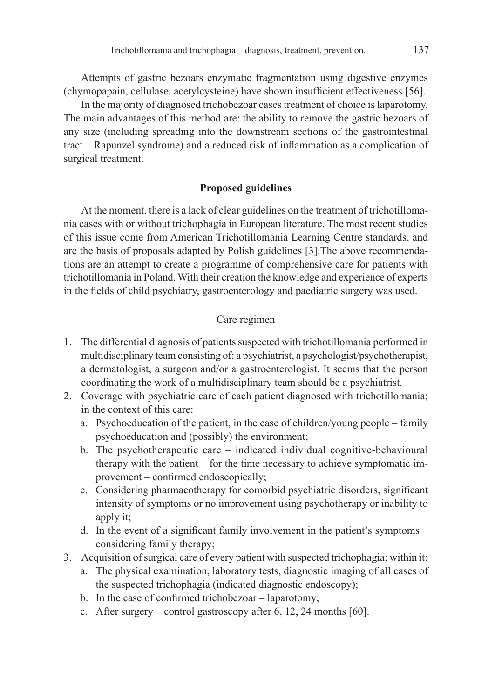Attempts of gastric bezoars enzymatic fragmentation using digestive enzymes (chymopapain, cellulase, acetylcysteine) have shown insufficient effectiveness [56].

In the majority of diagnosed trichobezoar cases treatment of choice is laparotomy. The main advantages of this method are: the ability to remove the gastric bezoars of any size (including spreading into the downstream sections of the gastrointestinal tract – Rapunzel syndrome) and a reduced risk of inflammation as a complication of surgical treatment.

### **Proposed guidelines**

At the moment, there is a lack of clear guidelines on the treatment of trichotillomania cases with or without trichophagia in European literature. The most recent studies of this issue come from American Trichotillomania Learning Centre standards, and are the basis of proposals adapted by Polish guidelines [3].The above recommendations are an attempt to create a programme of comprehensive care for patients with trichotillomania in Poland. With their creation the knowledge and experience of experts in the fields of child psychiatry, gastroenterology and paediatric surgery was used.

## Care regimen

- 1. The differential diagnosis of patients suspected with trichotillomania performed in multidisciplinary team consisting of: a psychiatrist, a psychologist/psychotherapist, a dermatologist, a surgeon and/or a gastroenterologist. It seems that the person coordinating the work of a multidisciplinary team should be a psychiatrist.
- 2. Coverage with psychiatric care of each patient diagnosed with trichotillomania; in the context of this care:
	- a. Psychoeducation of the patient, in the case of children/young people family psychoeducation and (possibly) the environment;
	- b. The psychotherapeutic care indicated individual cognitive-behavioural therapy with the patient – for the time necessary to achieve symptomatic improvement – confirmed endoscopically;
	- c. Considering pharmacotherapy for comorbid psychiatric disorders, significant intensity of symptoms or no improvement using psychotherapy or inability to apply it:
	- d. In the event of a significant family involvement in the patient's symptoms considering family therapy;
- 3. Acquisition of surgical care of every patient with suspected trichophagia; within it:
	- a. The physical examination, laboratory tests, diagnostic imaging of all cases of the suspected trichophagia (indicated diagnostic endoscopy);
	- b. In the case of confirmed trichobezoar laparotomy;
	- c. After surgery control gastroscopy after 6, 12, 24 months [60].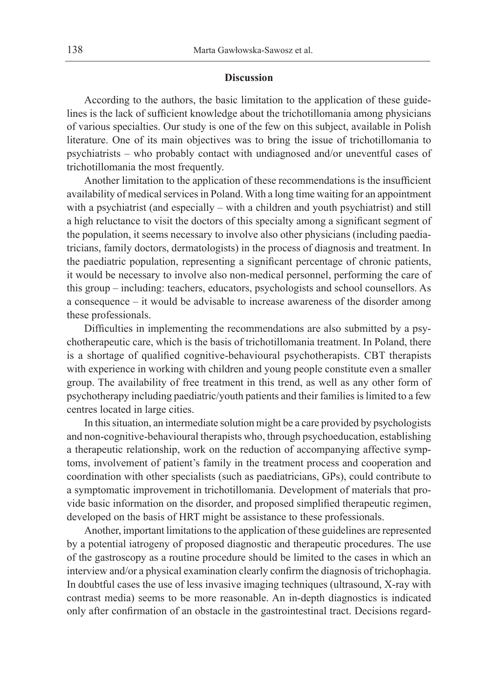#### **Discussion**

According to the authors, the basic limitation to the application of these guidelines is the lack of sufficient knowledge about the trichotillomania among physicians of various specialties. Our study is one of the few on this subject, available in Polish literature. One of its main objectives was to bring the issue of trichotillomania to psychiatrists – who probably contact with undiagnosed and/or uneventful cases of trichotillomania the most frequently.

Another limitation to the application of these recommendations is the insufficient availability of medical services in Poland. With a long time waiting for an appointment with a psychiatrist (and especially – with a children and youth psychiatrist) and still a high reluctance to visit the doctors of this specialty among a significant segment of the population, it seems necessary to involve also other physicians (including paediatricians, family doctors, dermatologists) in the process of diagnosis and treatment. In the paediatric population, representing a significant percentage of chronic patients, it would be necessary to involve also non-medical personnel, performing the care of this group – including: teachers, educators, psychologists and school counsellors. As a consequence – it would be advisable to increase awareness of the disorder among these professionals.

Difficulties in implementing the recommendations are also submitted by a psychotherapeutic care, which is the basis of trichotillomania treatment. In Poland, there is a shortage of qualified cognitive-behavioural psychotherapists. CBT therapists with experience in working with children and young people constitute even a smaller group. The availability of free treatment in this trend, as well as any other form of psychotherapy including paediatric/youth patients and their families is limited to a few centres located in large cities.

In this situation, an intermediate solution might be a care provided by psychologists and non-cognitive-behavioural therapists who, through psychoeducation, establishing a therapeutic relationship, work on the reduction of accompanying affective symptoms, involvement of patient's family in the treatment process and cooperation and coordination with other specialists (such as paediatricians, GPs), could contribute to a symptomatic improvement in trichotillomania. Development of materials that provide basic information on the disorder, and proposed simplified therapeutic regimen, developed on the basis of HRT might be assistance to these professionals.

Another, important limitations to the application of these guidelines are represented by a potential iatrogeny of proposed diagnostic and therapeutic procedures. The use of the gastroscopy as a routine procedure should be limited to the cases in which an interview and/or a physical examination clearly confirm the diagnosis of trichophagia. In doubtful cases the use of less invasive imaging techniques (ultrasound, X-ray with contrast media) seems to be more reasonable. An in-depth diagnostics is indicated only after confirmation of an obstacle in the gastrointestinal tract. Decisions regard-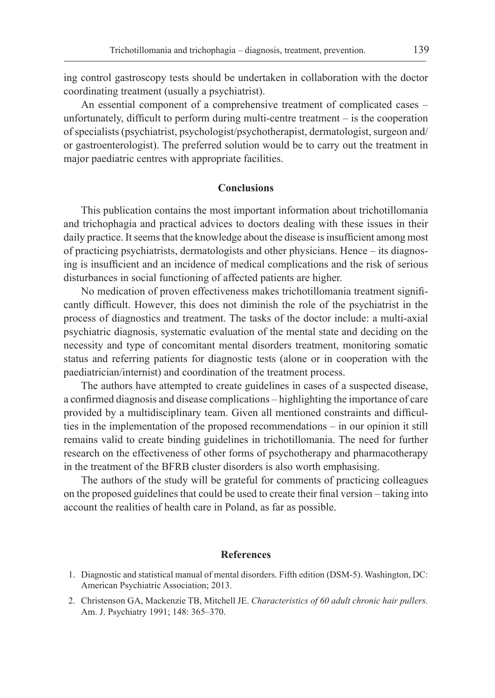ing control gastroscopy tests should be undertaken in collaboration with the doctor coordinating treatment (usually a psychiatrist).

An essential component of a comprehensive treatment of complicated cases – unfortunately, difficult to perform during multi-centre treatment – is the cooperation of specialists (psychiatrist, psychologist/psychotherapist, dermatologist, surgeon and/ or gastroenterologist). The preferred solution would be to carry out the treatment in major paediatric centres with appropriate facilities.

#### **Conclusions**

This publication contains the most important information about trichotillomania and trichophagia and practical advices to doctors dealing with these issues in their daily practice. It seems that the knowledge about the disease is insufficient among most of practicing psychiatrists, dermatologists and other physicians. Hence – its diagnosing is insufficient and an incidence of medical complications and the risk of serious disturbances in social functioning of affected patients are higher.

No medication of proven effectiveness makes trichotillomania treatment significantly difficult. However, this does not diminish the role of the psychiatrist in the process of diagnostics and treatment. The tasks of the doctor include: a multi-axial psychiatric diagnosis, systematic evaluation of the mental state and deciding on the necessity and type of concomitant mental disorders treatment, monitoring somatic status and referring patients for diagnostic tests (alone or in cooperation with the paediatrician/internist) and coordination of the treatment process.

The authors have attempted to create guidelines in cases of a suspected disease, a confirmed diagnosis and disease complications – highlighting the importance of care provided by a multidisciplinary team. Given all mentioned constraints and difficulties in the implementation of the proposed recommendations – in our opinion it still remains valid to create binding guidelines in trichotillomania. The need for further research on the effectiveness of other forms of psychotherapy and pharmacotherapy in the treatment of the BFRB cluster disorders is also worth emphasising.

The authors of the study will be grateful for comments of practicing colleagues on the proposed guidelines that could be used to create their final version – taking into account the realities of health care in Poland, as far as possible.

#### **References**

- 1. Diagnostic and statistical manual of mental disorders. Fifth edition (DSM-5). Washington, DC: American Psychiatric Association; 2013.
- 2. Christenson GA, Mackenzie TB, Mitchell JE. *Characteristics of 60 adult chronic hair pullers.*  Am. J. Psychiatry 1991; 148: 365–370.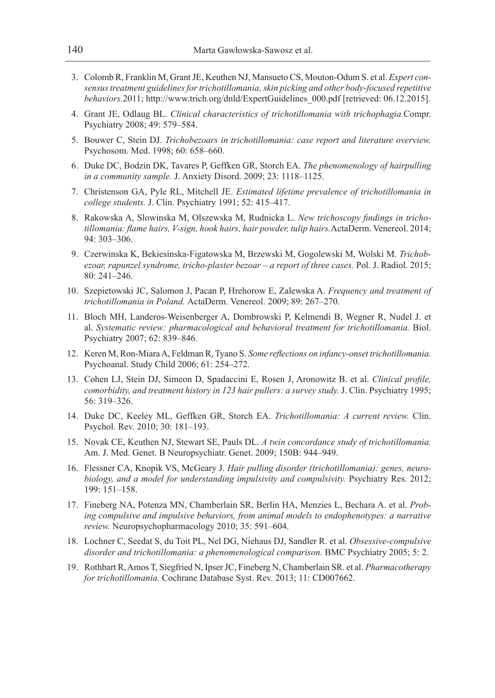- 3. Colomb R, Franklin M, Grant JE, Keuthen NJ, Mansueto CS, Mouton-Odum S. et al. *Expert consensus treatment guidelines for trichotillomania, skin picking and other body-focused repetitive behaviors.*2011; http://www.trich.org/dnld/ExpertGuidelines\_000.pdf [retrieved: 06.12.2015].
- 4. Grant JE, Odlaug BL. *Clinical characteristics of trichotillomania with trichophagia.*Compr. Psychiatry 2008; 49: 579–584.
- 5. Bouwer C, Stein DJ. *Trichobezoars in trichotillomania: case report and literature overview.*  Psychosom. Med. 1998; 60: 658–660.
- 6. Duke DC, Bodzin DK, Tavares P, Geffken GR, Storch EA. *The phenomenology of hairpulling in a community sample.* J. Anxiety Disord. 2009; 23: 1118–1125.
- 7. Christenson GA, Pyle RL, Mitchell JE. *Estimated lifetime prevalence of trichotillomania in college students.* J. Clin. Psychiatry 1991; 52: 415–417.
- 8. Rakowska A, Slowinska M, Olszewska M, Rudnicka L. *New trichoscopy findings in trichotillomania: flame hairs, V-sign, hook hairs, hair powder, tulip hairs.*ActaDerm. Venereol. 2014; 94: 303–306.
- 9. Czerwinska K, Bekiesinska-Figatowska M, Brzewski M, Gogolewski M, Wolski M. *Trichobezoar, rapunzel syndrome, tricho-plaster bezoar – a report of three cases.* Pol. J. Radiol. 2015; 80: 241–246.
- 10. Szepietowski JC, Salomon J, Pacan P, Hrehorow E, Zalewska A. *Frequency and treatment of trichotillomania in Poland.* ActaDerm. Venereol. 2009; 89: 267–270.
- 11. Bloch MH, Landeros-Weisenberger A, Dombrowski P, Kelmendi B, Wegner R, Nudel J. et al. *Systematic review: pharmacological and behavioral treatment for trichotillomania.* Biol. Psychiatry 2007; 62: 839–846.
- 12. Keren M, Ron-Miara A, Feldman R, Tyano S. *Some reflections on infancy-onset trichotillomania.*  Psychoanal. Study Child 2006; 61: 254–272.
- 13. Cohen LJ, Stein DJ, Simeon D, Spadaccini E, Rosen J, Aronowitz B. et al. *Clinical profile, comorbidity, and treatment history in 123 hair pullers: a survey study.* J. Clin. Psychiatry 1995; 56: 319–326.
- 14. Duke DC, Keeley ML, Geffken GR, Storch EA. *Trichotillomania: A current review.* Clin. Psychol. Rev. 2010; 30: 181–193.
- 15. Novak CE, Keuthen NJ, Stewart SE, Pauls DL. *A twin concordance study of trichotillomania.*  Am. J. Med. Genet. B Neuropsychiatr. Genet. 2009; 150B: 944–949.
- 16. Flessner CA, Knopik VS, McGeary J. *Hair pulling disorder (trichotillomania): genes, neurobiology, and a model for understanding impulsivity and compulsivity.* Psychiatry Res. 2012; 199: 151–158.
- 17. Fineberg NA, Potenza MN, Chamberlain SR, Berlin HA, Menzies L, Bechara A. et al. *Probing compulsive and impulsive behaviors, from animal models to endophenotypes: a narrative review.* Neuropsychopharmacology 2010; 35: 591–604.
- 18. Lochner C, Seedat S, du Toit PL, Nel DG, Niehaus DJ, Sandler R. et al. *Obsessive-compulsive disorder and trichotillomania: a phenomenological comparison.* BMC Psychiatry 2005; 5: 2.
- 19. Rothbart R, Amos T, Siegfried N, Ipser JC, Fineberg N, Chamberlain SR. et al. *Pharmacotherapy for trichotillomania.* Cochrane Database Syst. Rev. 2013; 11: CD007662.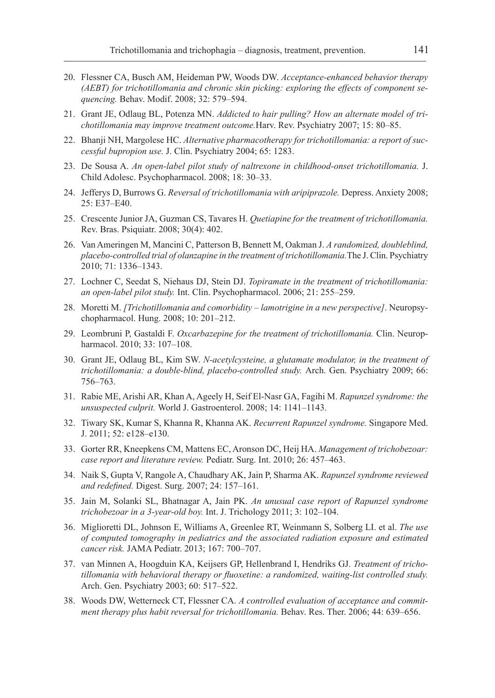- 20. Flessner CA, Busch AM, Heideman PW, Woods DW. *Acceptance-enhanced behavior therapy (AEBT) for trichotillomania and chronic skin picking: exploring the effects of component sequencing.* Behav. Modif. 2008; 32: 579–594.
- 21. Grant JE, Odlaug BL, Potenza MN. *Addicted to hair pulling? How an alternate model of trichotillomania may improve treatment outcome.*Harv. Rev. Psychiatry 2007; 15: 80–85.
- 22. Bhanji NH, Margolese HC. *Alternative pharmacotherapy for trichotillomania: a report of successful bupropion use.* J. Clin. Psychiatry 2004; 65: 1283.
- 23. De Sousa A. *An open-label pilot study of naltrexone in childhood-onset trichotillomania.* J. Child Adolesc. Psychopharmacol. 2008; 18: 30–33.
- 24. Jefferys D, Burrows G. *Reversal of trichotillomania with aripiprazole.* Depress. Anxiety 2008; 25: E37–E40.
- 25. Crescente Junior JA, Guzman CS, Tavares H. *Quetiapine for the treatment of trichotillomania.*  Rev. Bras. Psiquiatr. 2008; 30(4): 402.
- 26. Van Ameringen M, Mancini C, Patterson B, Bennett M, Oakman J. *A randomized, doubleblind, placebo-controlled trial of olanzapine in the treatment of trichotillomania.*The J. Clin. Psychiatry 2010; 71: 1336–1343.
- 27. Lochner C, Seedat S, Niehaus DJ, Stein DJ. *Topiramate in the treatment of trichotillomania: an open-label pilot study.* Int. Clin. Psychopharmacol. 2006; 21: 255–259.
- 28. Moretti M. *[Trichotillomania and comorbidity lamotrigine in a new perspective]*. Neuropsychopharmacol. Hung. 2008; 10: 201–212.
- 29. Leombruni P, Gastaldi F. *Oxcarbazepine for the treatment of trichotillomania.* Clin. Neuropharmacol. 2010; 33: 107–108.
- 30. Grant JE, Odlaug BL, Kim SW. *N-acetylcysteine, a glutamate modulator, in the treatment of trichotillomania: a double-blind, placebo-controlled study.* Arch. Gen. Psychiatry 2009; 66: 756–763.
- 31. Rabie ME, Arishi AR, Khan A, Ageely H, Seif El-Nasr GA, Fagihi M. *Rapunzel syndrome: the unsuspected culprit.* World J. Gastroenterol. 2008; 14: 1141–1143.
- 32. Tiwary SK, Kumar S, Khanna R, Khanna AK. *Recurrent Rapunzel syndrome.* Singapore Med. J. 2011; 52: e128–e130.
- 33. Gorter RR, Kneepkens CM, Mattens EC, Aronson DC, Heij HA. *Management of trichobezoar: case report and literature review.* Pediatr. Surg. Int. 2010; 26: 457–463.
- 34. Naik S, Gupta V, Rangole A, Chaudhary AK, Jain P, Sharma AK. *Rapunzel syndrome reviewed and redefined.* Digest. Surg. 2007; 24: 157–161.
- 35. Jain M, Solanki SL, Bhatnagar A, Jain PK. *An unusual case report of Rapunzel syndrome trichobezoar in a 3-year-old boy.* Int. J. Trichology 2011; 3: 102–104.
- 36. Miglioretti DL, Johnson E, Williams A, Greenlee RT, Weinmann S, Solberg LI. et al. *The use of computed tomography in pediatrics and the associated radiation exposure and estimated cancer risk.* JAMA Pediatr. 2013; 167: 700–707.
- 37. van Minnen A, Hoogduin KA, Keijsers GP, Hellenbrand I, Hendriks GJ. *Treatment of trichotillomania with behavioral therapy or fluoxetine: a randomized, waiting-list controlled study.*  Arch. Gen. Psychiatry 2003; 60: 517–522.
- 38. Woods DW, Wetterneck CT, Flessner CA. *A controlled evaluation of acceptance and commitment therapy plus habit reversal for trichotillomania.* Behav. Res. Ther. 2006; 44: 639–656.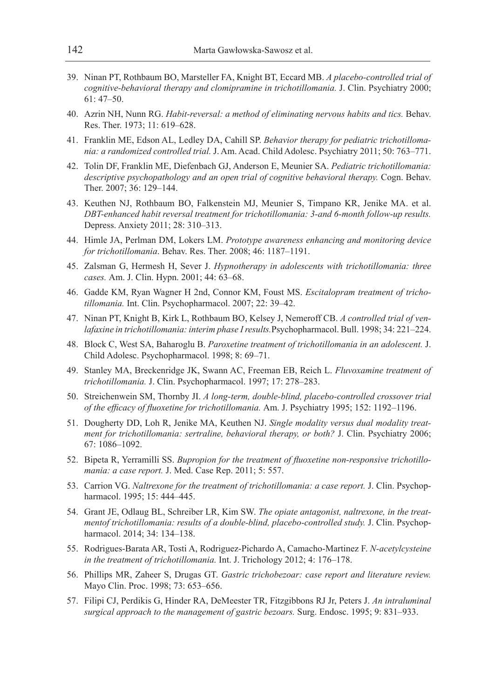- 39. Ninan PT, Rothbaum BO, Marsteller FA, Knight BT, Eccard MB. *A placebo-controlled trial of cognitive-behavioral therapy and clomipramine in trichotillomania.* J. Clin. Psychiatry 2000; 61: 47–50.
- 40. Azrin NH, Nunn RG. *Habit-reversal: a method of eliminating nervous habits and tics.* Behav. Res. Ther. 1973; 11: 619–628.
- 41. Franklin ME, Edson AL, Ledley DA, Cahill SP. *Behavior therapy for pediatric trichotillomania: a randomized controlled trial.* J. Am. Acad. Child Adolesc. Psychiatry 2011; 50: 763–771.
- 42. Tolin DF, Franklin ME, Diefenbach GJ, Anderson E, Meunier SA. *Pediatric trichotillomania: descriptive psychopathology and an open trial of cognitive behavioral therapy.* Cogn. Behav. Ther. 2007; 36: 129–144.
- 43. Keuthen NJ, Rothbaum BO, Falkenstein MJ, Meunier S, Timpano KR, Jenike MA. et al. *DBT-enhanced habit reversal treatment for trichotillomania: 3-and 6-month follow-up results.* Depress. Anxiety 2011; 28: 310–313.
- 44. Himle JA, Perlman DM, Lokers LM. *Prototype awareness enhancing and monitoring device for trichotillomania*. Behav. Res. Ther. 2008; 46: 1187–1191.
- 45. Zalsman G, Hermesh H, Sever J. *Hypnotherapy in adolescents with trichotillomania: three cases.* Am. J. Clin. Hypn. 2001; 44: 63–68.
- 46. Gadde KM, Ryan Wagner H 2nd, Connor KM, Foust MS. *Escitalopram treatment of trichotillomania.* Int. Clin. Psychopharmacol. 2007; 22: 39–42.
- 47. Ninan PT, Knight B, Kirk L, Rothbaum BO, Kelsey J, Nemeroff CB. *A controlled trial of venlafaxine in trichotillomania: interim phase I results.*Psychopharmacol. Bull. 1998; 34: 221–224.
- 48. Block C, West SA, Baharoglu B. *Paroxetine treatment of trichotillomania in an adolescent.* J. Child Adolesc. Psychopharmacol. 1998; 8: 69–71.
- 49. Stanley MA, Breckenridge JK, Swann AC, Freeman EB, Reich L. *Fluvoxamine treatment of trichotillomania.* J. Clin. Psychopharmacol. 1997; 17: 278–283.
- 50. Streichenwein SM, Thornby JI. *A long-term, double-blind, placebo-controlled crossover trial of the efficacy of fluoxetine for trichotillomania.* Am. J. Psychiatry 1995; 152: 1192–1196.
- 51. Dougherty DD, Loh R, Jenike MA, Keuthen NJ. *Single modality versus dual modality treatment for trichotillomania: sertraline, behavioral therapy, or both?* J. Clin. Psychiatry 2006; 67: 1086–1092.
- 52. Bipeta R, Yerramilli SS. *Bupropion for the treatment of fluoxetine non-responsive trichotillomania: a case report.* J. Med. Case Rep. 2011; 5: 557.
- 53. Carrion VG. *Naltrexone for the treatment of trichotillomania: a case report.* J. Clin. Psychopharmacol. 1995; 15: 444–445.
- 54. Grant JE, Odlaug BL, Schreiber LR, Kim SW. *The opiate antagonist, naltrexone, in the treatmentof trichotillomania: results of a double-blind, placebo-controlled study.* J. Clin. Psychopharmacol. 2014; 34: 134–138.
- 55. Rodrigues-Barata AR, Tosti A, Rodriguez-Pichardo A, Camacho-Martinez F. *N-acetylcysteine in the treatment of trichotillomania.* Int. J. Trichology 2012; 4: 176–178.
- 56. Phillips MR, Zaheer S, Drugas GT. *Gastric trichobezoar: case report and literature review.*  Mayo Clin. Proc. 1998; 73: 653–656.
- 57. Filipi CJ, Perdikis G, Hinder RA, DeMeester TR, Fitzgibbons RJ Jr, Peters J. *An intraluminal surgical approach to the management of gastric bezoars.* Surg. Endosc. 1995; 9: 831–933.